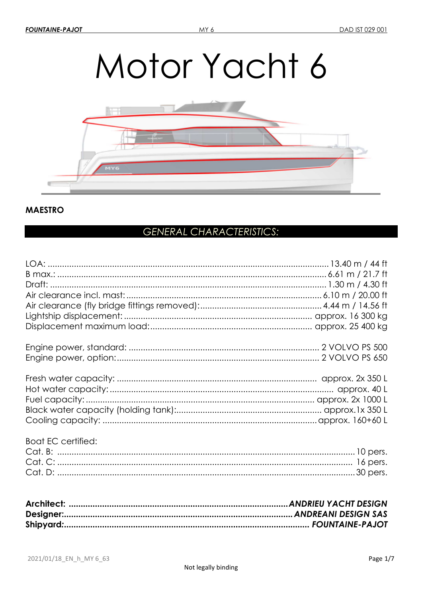# Motor Yacht 6



#### **MAESTRO**

# **GENERAL CHARACTERISTICS:**

| <b>Boat EC certified:</b> |  |
|---------------------------|--|
|                           |  |
|                           |  |
|                           |  |
|                           |  |
|                           |  |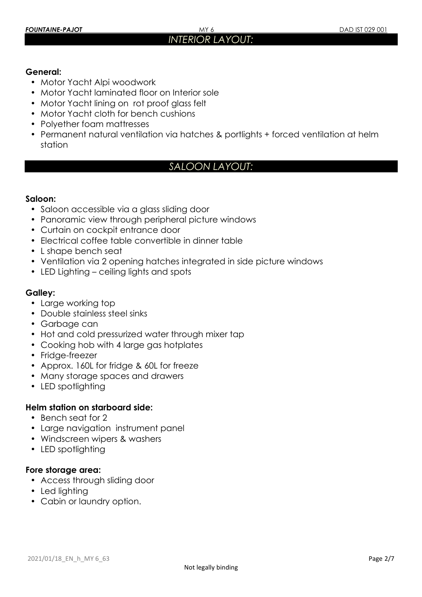#### **General:**

- Motor Yacht Alpi woodwork
- Motor Yacht laminated floor on Interior sole
- Motor Yacht lining on rot proof glass felt
- Motor Yacht cloth for bench cushions
- Polyether foam mattresses
- Permanent natural ventilation via hatches & portlights + forced ventilation at helm station

## *SALOON LAYOUT:*

#### **Saloon:**

- Saloon accessible via a glass sliding door
- Panoramic view through peripheral picture windows
- Curtain on cockpit entrance door
- Electrical coffee table convertible in dinner table
- L shape bench seat
- Ventilation via 2 opening hatches integrated in side picture windows
- LED Lighting ceiling lights and spots

#### **Galley:**

- Large working top
- Double stainless steel sinks
- Garbage can
- Hot and cold pressurized water through mixer tap
- Cooking hob with 4 large gas hotplates
- Fridge-freezer
- Approx. 160L for fridge & 60L for freeze
- Many storage spaces and drawers
- LED spotlighting

#### **Helm station on starboard side:**

- Bench seat for 2
- Large navigation instrument panel
- Windscreen wipers & washers
- LED spotlighting

#### **Fore storage area:**

- Access through sliding door
- Led lighting
- Cabin or laundry option.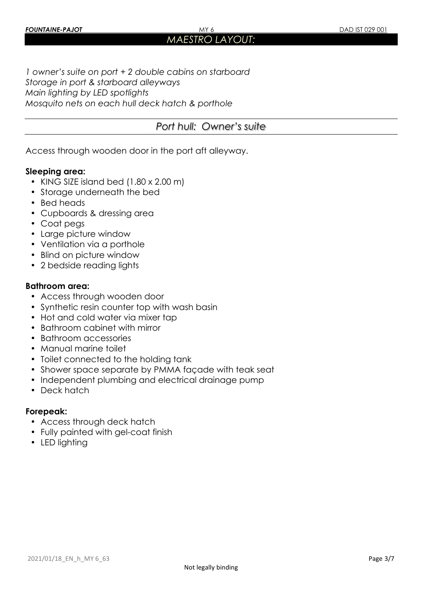*1 owner's suite on port + 2 double cabins on starboard Storage in port & starboard alleyways Main lighting by LED spotlights Mosquito nets on each hull deck hatch & porthole* 

# *Port hull: Owner's suite*

Access through wooden door in the port aft alleyway.

#### **Sleeping area:**

- KING SIZE island bed (1.80 x 2.00 m)
- Storage underneath the bed
- Bed heads
- Cupboards & dressing area
- Coat pegs
- Large picture window
- Ventilation via a porthole
- Blind on picture window
- 2 bedside reading lights

#### **Bathroom area:**

- Access through wooden door
- Synthetic resin counter top with wash basin
- Hot and cold water via mixer tap
- Bathroom cabinet with mirror
- Bathroom accessories
- Manual marine toilet
- Toilet connected to the holding tank
- Shower space separate by PMMA façade with teak seat
- Independent plumbing and electrical drainage pump
- Deck hatch

#### **Forepeak:**

- Access through deck hatch
- Fully painted with gel-coat finish
- LED lighting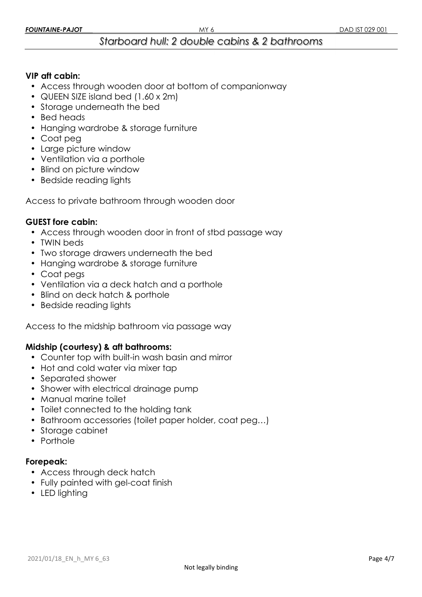# *Starboard hull: 2 double cabins & 2 bathrooms*

#### **VIP aft cabin:**

- Access through wooden door at bottom of companionway
- QUEEN SIZE island bed (1.60 x 2m)
- Storage underneath the bed
- Bed heads
- Hanging wardrobe & storage furniture
- Coat peg
- Large picture window
- Ventilation via a porthole
- Blind on picture window
- Bedside reading lights

Access to private bathroom through wooden door

#### **GUEST fore cabin:**

- Access through wooden door in front of stbd passage way
- TWIN beds
- Two storage drawers underneath the bed
- Hanging wardrobe & storage furniture
- Coat pegs
- Ventilation via a deck hatch and a porthole
- Blind on deck hatch & porthole
- Bedside reading lights

Access to the midship bathroom via passage way

#### **Midship (courtesy) & aft bathrooms:**

- Counter top with built-in wash basin and mirror
- Hot and cold water via mixer tap
- Separated shower
- Shower with electrical drainage pump
- Manual marine toilet
- Toilet connected to the holding tank
- Bathroom accessories (toilet paper holder, coat peg…)
- Storage cabinet
- Porthole

#### **Forepeak:**

- Access through deck hatch
- Fully painted with gel-coat finish
- LED lighting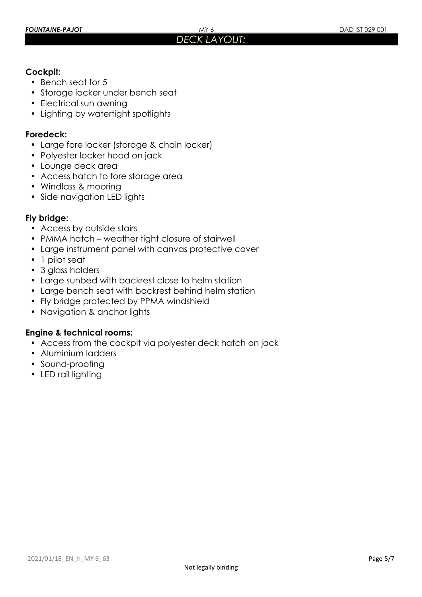#### **Cockpit:**

- Bench seat for 5
- Storage locker under bench seat
- Electrical sun awning
- Lighting by watertight spotlights

#### **Foredeck:**

- Large fore locker (storage & chain locker)
- Polyester locker hood on jack
- Lounge deck area
- Access hatch to fore storage area
- Windlass & mooring
- Side navigation LED lights

#### **Fly bridge:**

- Access by outside stairs
- PMMA hatch weather tight closure of stairwell
- Large instrument panel with canvas protective cover
- 1 pilot seat
- 3 glass holders
- Large sunbed with backrest close to helm station
- Large bench seat with backrest behind helm station
- Fly bridge protected by PPMA windshield
- Navigation & anchor lights

#### **Engine & technical rooms:**

- Access from the cockpit via polyester deck hatch on jack
- Aluminium ladders
- Sound-proofing
- LED rail lighting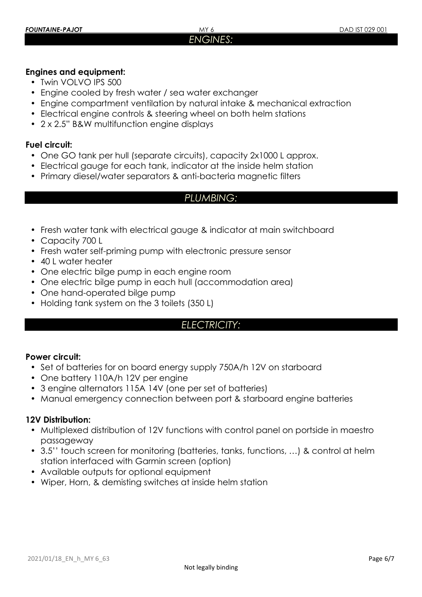#### **Engines and equipment:**

- Twin VOLVO IPS 500
- Engine cooled by fresh water / sea water exchanger
- Engine compartment ventilation by natural intake & mechanical extraction
- Electrical engine controls & steering wheel on both helm stations
- 2 x 2.5" B&W multifunction engine displays

#### **Fuel circuit:**

- One GO tank per hull (separate circuits), capacity 2x1000 L approx.
- Electrical gauge for each tank, indicator at the inside helm station
- Primary diesel/water separators & anti-bacteria magnetic filters

#### *PLUMBING:*

- Fresh water tank with electrical gauge & indicator at main switchboard
- Capacity 700 L
- Fresh water self-priming pump with electronic pressure sensor
- 40 L water heater
- One electric bilge pump in each engine room
- One electric bilge pump in each hull (accommodation area)
- One hand-operated bilge pump
- Holding tank system on the 3 toilets (350 L)

# *ELECTRICITY:*

#### **Power circuit:**

- Set of batteries for on board energy supply 750A/h 12V on starboard
- One battery 110A/h 12V per engine
- 3 engine alternators 115A 14V (one per set of batteries)
- Manual emergency connection between port & starboard engine batteries

## **12V Distribution:**

- Multiplexed distribution of 12V functions with control panel on portside in maestro passageway
- 3.5'' touch screen for monitoring (batteries, tanks, functions, …) & control at helm station interfaced with Garmin screen (option)
- Available outputs for optional equipment
- Wiper, Horn, & demisting switches at inside helm station